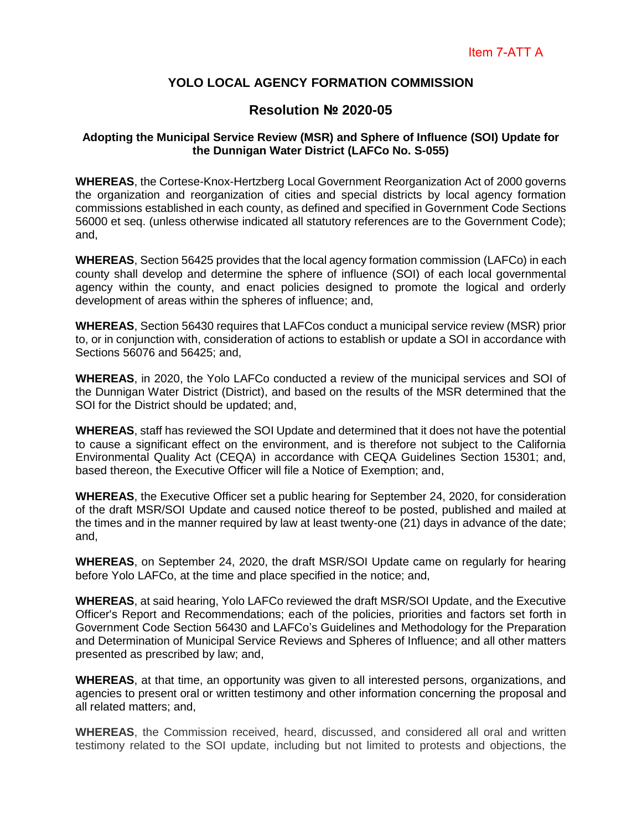## **YOLO LOCAL AGENCY FORMATION COMMISSION**

# **Resolution № 2020-05**

#### **Adopting the Municipal Service Review (MSR) and Sphere of Influence (SOI) Update for the Dunnigan Water District (LAFCo No. S-055)**

**WHEREAS**, the Cortese-Knox-Hertzberg Local Government Reorganization Act of 2000 governs the organization and reorganization of cities and special districts by local agency formation commissions established in each county, as defined and specified in Government Code Sections 56000 et seq. (unless otherwise indicated all statutory references are to the Government Code); and,

**WHEREAS**, Section 56425 provides that the local agency formation commission (LAFCo) in each county shall develop and determine the sphere of influence (SOI) of each local governmental agency within the county, and enact policies designed to promote the logical and orderly development of areas within the spheres of influence; and,

**WHEREAS**, Section 56430 requires that LAFCos conduct a municipal service review (MSR) prior to, or in conjunction with, consideration of actions to establish or update a SOI in accordance with Sections 56076 and 56425; and,

**WHEREAS**, in 2020, the Yolo LAFCo conducted a review of the municipal services and SOI of the Dunnigan Water District (District), and based on the results of the MSR determined that the SOI for the District should be updated; and,

**WHEREAS**, staff has reviewed the SOI Update and determined that it does not have the potential to cause a significant effect on the environment, and is therefore not subject to the California Environmental Quality Act (CEQA) in accordance with CEQA Guidelines Section 15301; and, based thereon, the Executive Officer will file a Notice of Exemption; and,

**WHEREAS**, the Executive Officer set a public hearing for September 24, 2020, for consideration of the draft MSR/SOI Update and caused notice thereof to be posted, published and mailed at the times and in the manner required by law at least twenty-one (21) days in advance of the date; and,

**WHEREAS**, on September 24, 2020, the draft MSR/SOI Update came on regularly for hearing before Yolo LAFCo, at the time and place specified in the notice; and,

**WHEREAS**, at said hearing, Yolo LAFCo reviewed the draft MSR/SOI Update, and the Executive Officer's Report and Recommendations; each of the policies, priorities and factors set forth in Government Code Section 56430 and LAFCo's Guidelines and Methodology for the Preparation and Determination of Municipal Service Reviews and Spheres of Influence; and all other matters presented as prescribed by law; and,

**WHEREAS**, at that time, an opportunity was given to all interested persons, organizations, and agencies to present oral or written testimony and other information concerning the proposal and all related matters; and,

**WHEREAS**, the Commission received, heard, discussed, and considered all oral and written testimony related to the SOI update, including but not limited to protests and objections, the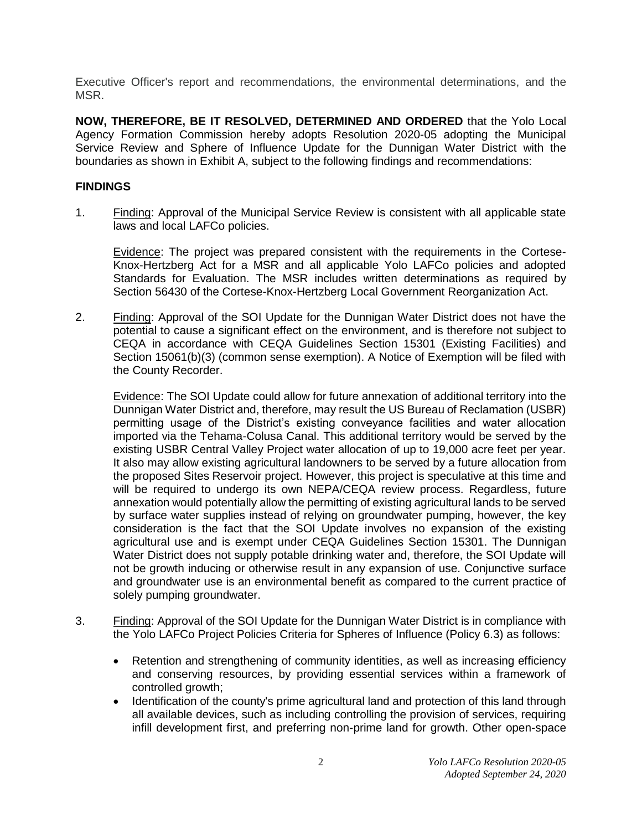Executive Officer's report and recommendations, the environmental determinations, and the MSR.

**NOW, THEREFORE, BE IT RESOLVED, DETERMINED AND ORDERED** that the Yolo Local Agency Formation Commission hereby adopts Resolution 2020-05 adopting the Municipal Service Review and Sphere of Influence Update for the Dunnigan Water District with the boundaries as shown in Exhibit A, subject to the following findings and recommendations:

## **FINDINGS**

1. Finding: Approval of the Municipal Service Review is consistent with all applicable state laws and local LAFCo policies.

Evidence: The project was prepared consistent with the requirements in the Cortese-Knox-Hertzberg Act for a MSR and all applicable Yolo LAFCo policies and adopted Standards for Evaluation. The MSR includes written determinations as required by Section 56430 of the Cortese-Knox-Hertzberg Local Government Reorganization Act.

2. Finding: Approval of the SOI Update for the Dunnigan Water District does not have the potential to cause a significant effect on the environment, and is therefore not subject to CEQA in accordance with CEQA Guidelines Section 15301 (Existing Facilities) and Section 15061(b)(3) (common sense exemption). A Notice of Exemption will be filed with the County Recorder.

Evidence: The SOI Update could allow for future annexation of additional territory into the Dunnigan Water District and, therefore, may result the US Bureau of Reclamation (USBR) permitting usage of the District's existing conveyance facilities and water allocation imported via the Tehama-Colusa Canal. This additional territory would be served by the existing USBR Central Valley Project water allocation of up to 19,000 acre feet per year. It also may allow existing agricultural landowners to be served by a future allocation from the proposed Sites Reservoir project. However, this project is speculative at this time and will be required to undergo its own NEPA/CEQA review process. Regardless, future annexation would potentially allow the permitting of existing agricultural lands to be served by surface water supplies instead of relying on groundwater pumping, however, the key consideration is the fact that the SOI Update involves no expansion of the existing agricultural use and is exempt under CEQA Guidelines Section 15301. The Dunnigan Water District does not supply potable drinking water and, therefore, the SOI Update will not be growth inducing or otherwise result in any expansion of use. Conjunctive surface and groundwater use is an environmental benefit as compared to the current practice of solely pumping groundwater.

- 3. Finding: Approval of the SOI Update for the Dunnigan Water District is in compliance with the Yolo LAFCo Project Policies Criteria for Spheres of Influence (Policy 6.3) as follows:
	- Retention and strengthening of community identities, as well as increasing efficiency and conserving resources, by providing essential services within a framework of controlled growth;
	- Identification of the county's prime agricultural land and protection of this land through all available devices, such as including controlling the provision of services, requiring infill development first, and preferring non-prime land for growth. Other open-space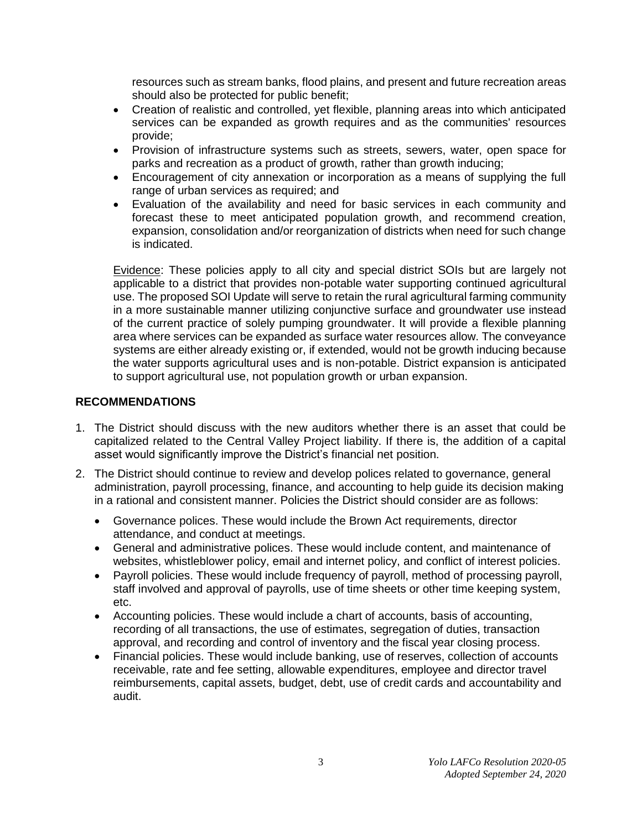resources such as stream banks, flood plains, and present and future recreation areas should also be protected for public benefit;

- Creation of realistic and controlled, yet flexible, planning areas into which anticipated services can be expanded as growth requires and as the communities' resources provide;
- Provision of infrastructure systems such as streets, sewers, water, open space for parks and recreation as a product of growth, rather than growth inducing;
- Encouragement of city annexation or incorporation as a means of supplying the full range of urban services as required; and
- Evaluation of the availability and need for basic services in each community and forecast these to meet anticipated population growth, and recommend creation, expansion, consolidation and/or reorganization of districts when need for such change is indicated.

Evidence: These policies apply to all city and special district SOIs but are largely not applicable to a district that provides non-potable water supporting continued agricultural use. The proposed SOI Update will serve to retain the rural agricultural farming community in a more sustainable manner utilizing conjunctive surface and groundwater use instead of the current practice of solely pumping groundwater. It will provide a flexible planning area where services can be expanded as surface water resources allow. The conveyance systems are either already existing or, if extended, would not be growth inducing because the water supports agricultural uses and is non-potable. District expansion is anticipated to support agricultural use, not population growth or urban expansion.

## **RECOMMENDATIONS**

- 1. The District should discuss with the new auditors whether there is an asset that could be capitalized related to the Central Valley Project liability. If there is, the addition of a capital asset would significantly improve the District's financial net position.
- 2. The District should continue to review and develop polices related to governance, general administration, payroll processing, finance, and accounting to help guide its decision making in a rational and consistent manner. Policies the District should consider are as follows:
	- Governance polices. These would include the Brown Act requirements, director attendance, and conduct at meetings.
	- General and administrative polices. These would include content, and maintenance of websites, whistleblower policy, email and internet policy, and conflict of interest policies.
	- Payroll policies. These would include frequency of payroll, method of processing payroll, staff involved and approval of payrolls, use of time sheets or other time keeping system, etc.
	- Accounting policies. These would include a chart of accounts, basis of accounting, recording of all transactions, the use of estimates, segregation of duties, transaction approval, and recording and control of inventory and the fiscal year closing process.
	- Financial policies. These would include banking, use of reserves, collection of accounts receivable, rate and fee setting, allowable expenditures, employee and director travel reimbursements, capital assets, budget, debt, use of credit cards and accountability and audit.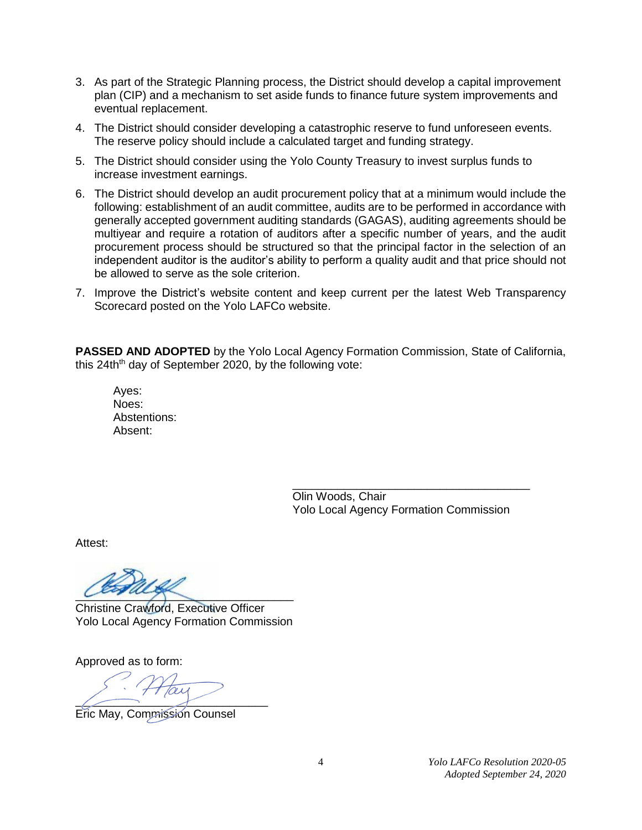- 3. As part of the Strategic Planning process, the District should develop a capital improvement plan (CIP) and a mechanism to set aside funds to finance future system improvements and eventual replacement.
- 4. The District should consider developing a catastrophic reserve to fund unforeseen events. The reserve policy should include a calculated target and funding strategy.
- 5. The District should consider using the Yolo County Treasury to invest surplus funds to increase investment earnings.
- 6. The District should develop an audit procurement policy that at a minimum would include the following: establishment of an audit committee, audits are to be performed in accordance with generally accepted government auditing standards (GAGAS), auditing agreements should be multiyear and require a rotation of auditors after a specific number of years, and the audit procurement process should be structured so that the principal factor in the selection of an independent auditor is the auditor's ability to perform a quality audit and that price should not be allowed to serve as the sole criterion.
- 7. Improve the District's website content and keep current per the latest Web Transparency Scorecard posted on the Yolo LAFCo website.

**PASSED AND ADOPTED** by the Yolo Local Agency Formation Commission, State of California, this 24th<sup>th</sup> day of September 2020, by the following vote:

Ayes: Noes: Abstentions: Absent:

> Olin Woods, Chair Yolo Local Agency Formation Commission

\_\_\_\_\_\_\_\_\_\_\_\_\_\_\_\_\_\_\_\_\_\_\_\_\_\_\_\_\_\_\_\_\_\_\_\_\_

Attest:

 $\overline{\mathcal{L}}$ 

Christine Crawford, Executive Officer Yolo Local Agency Formation Commission

Approved as to form:

 $\sqrt{2}$ 

Eric May, Commission Counsel